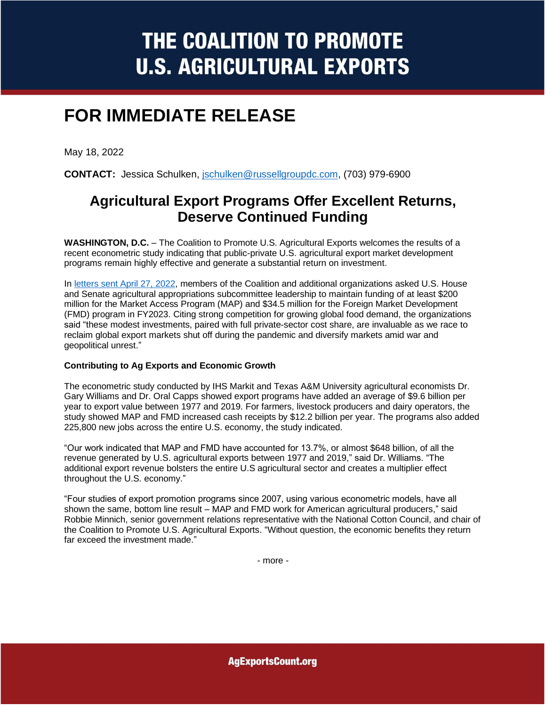# THE COALITION TO PROMOTE **U.S. AGRICULTURAL EXPORTS**

## **FOR IMMEDIATE RELEASE**

May 18, 2022

**CONTACT:** Jessica Schulken, [jschulken@russellgroupdc.com,](mailto:jschulken@russellgroupdc.com) (703) 979-6900

### **Agricultural Export Programs Offer Excellent Returns, Deserve Continued Funding**

**WASHINGTON, D.C.** – The Coalition to Promote U.S. Agricultural Exports welcomes the results of a recent econometric study indicating that public-private U.S. agricultural export market development programs remain highly effective and generate a substantial return on investment.

In [letters sent April 27, 2022,](https://agexportscount.com/wp-content/uploads/2022/05/MAPFMD-FY23-House-Approps-Letter-FINAL.pdf) members of the Coalition and additional organizations asked U.S. House and Senate agricultural appropriations subcommittee leadership to maintain funding of at least \$200 million for the Market Access Program (MAP) and \$34.5 million for the Foreign Market Development (FMD) program in FY2023. Citing strong competition for growing global food demand, the organizations said "these modest investments, paired with full private-sector cost share, are invaluable as we race to reclaim global export markets shut off during the pandemic and diversify markets amid war and geopolitical unrest."

#### **Contributing to Ag Exports and Economic Growth**

The econometric study conducted by IHS Markit and Texas A&M University agricultural economists Dr. Gary Williams and Dr. Oral Capps showed export programs have added an average of \$9.6 billion per year to export value between 1977 and 2019. For farmers, livestock producers and dairy operators, the study showed MAP and FMD increased cash receipts by \$12.2 billion per year. The programs also added 225,800 new jobs across the entire U.S. economy, the study indicated.

"Our work indicated that MAP and FMD have accounted for 13.7%, or almost \$648 billion, of all the revenue generated by U.S. agricultural exports between 1977 and 2019," said Dr. Williams. "The additional export revenue bolsters the entire U.S agricultural sector and creates a multiplier effect throughout the U.S. economy."

"Four studies of export promotion programs since 2007, using various econometric models, have all shown the same, bottom line result – MAP and FMD work for American agricultural producers," said Robbie Minnich, senior government relations representative with the National Cotton Council, and chair of the Coalition to Promote U.S. Agricultural Exports. "Without question, the economic benefits they return far exceed the investment made."

- more -

**AgExportsCount.org**